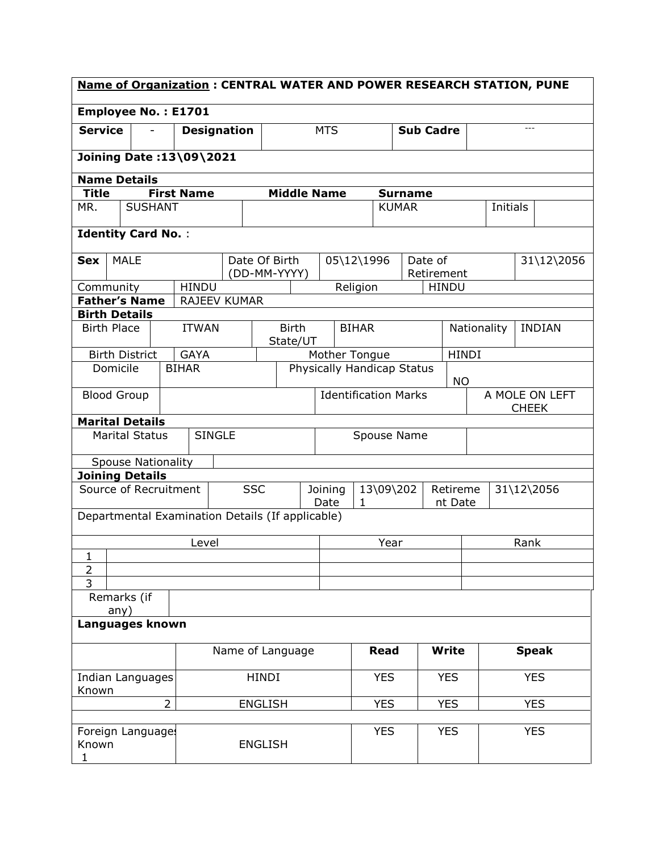| <b>Name of Organization: CENTRAL WATER AND POWER RESEARCH STATION, PUNE</b> |                                                  |  |                   |                    |             |                                                          |               |                             |              |              |                |                                |                              |              |                 |              |            |
|-----------------------------------------------------------------------------|--------------------------------------------------|--|-------------------|--------------------|-------------|----------------------------------------------------------|---------------|-----------------------------|--------------|--------------|----------------|--------------------------------|------------------------------|--------------|-----------------|--------------|------------|
|                                                                             | <b>Employee No.: E1701</b>                       |  |                   |                    |             |                                                          |               |                             |              |              |                |                                |                              |              |                 |              |            |
| <b>Service</b>                                                              |                                                  |  |                   | <b>Designation</b> |             |                                                          | <b>MTS</b>    |                             |              |              |                | <b>Sub Cadre</b>               |                              |              |                 | $\cdots$     |            |
|                                                                             | Joining Date: 13\09\2021                         |  |                   |                    |             |                                                          |               |                             |              |              |                |                                |                              |              |                 |              |            |
| <b>Name Details</b>                                                         |                                                  |  |                   |                    |             |                                                          |               |                             |              |              |                |                                |                              |              |                 |              |            |
| <b>Title</b>                                                                |                                                  |  | <b>First Name</b> |                    |             | <b>Middle Name</b>                                       |               |                             |              |              | <b>Surname</b> |                                |                              |              |                 |              |            |
| MR.                                                                         | <b>SUSHANT</b>                                   |  |                   |                    |             |                                                          |               |                             |              | <b>KUMAR</b> |                |                                |                              |              | <b>Initials</b> |              |            |
|                                                                             | <b>Identity Card No.:</b>                        |  |                   |                    |             |                                                          |               |                             |              |              |                |                                |                              |              |                 |              |            |
| <b>Sex</b>                                                                  | <b>MALE</b>                                      |  |                   | Date Of Birth      |             |                                                          |               | 05\12\1996                  |              |              |                | Date of<br>Retirement          |                              |              |                 |              | 31\12\2056 |
| Community                                                                   |                                                  |  | <b>HINDU</b>      |                    |             | (DD-MM-YYYY)                                             |               |                             | Religion     |              |                | <b>HINDU</b>                   |                              |              |                 |              |            |
|                                                                             | <b>Father's Name</b>                             |  |                   | RAJEEV KUMAR       |             |                                                          |               |                             |              |              |                |                                |                              |              |                 |              |            |
| <b>Birth Details</b>                                                        |                                                  |  |                   |                    |             |                                                          |               |                             |              |              |                |                                |                              |              |                 |              |            |
| <b>Birth Place</b>                                                          |                                                  |  | <b>ITWAN</b>      |                    |             | <b>Birth</b><br>State/UT                                 |               |                             | <b>BIHAR</b> |              |                |                                | Nationality<br><b>INDIAN</b> |              |                 |              |            |
|                                                                             | <b>Birth District</b>                            |  | <b>GAYA</b>       |                    |             |                                                          | Mother Tongue |                             |              |              |                |                                |                              | <b>HINDI</b> |                 |              |            |
| Domicile                                                                    |                                                  |  | <b>BIHAR</b>      |                    |             | Physically Handicap Status<br>NO.                        |               |                             |              |              |                |                                |                              |              |                 |              |            |
| <b>Blood Group</b>                                                          |                                                  |  |                   |                    |             |                                                          |               | <b>Identification Marks</b> |              |              |                | A MOLE ON LEFT<br><b>CHEEK</b> |                              |              |                 |              |            |
|                                                                             | <b>Marital Details</b>                           |  |                   |                    |             |                                                          |               |                             |              |              |                |                                |                              |              |                 |              |            |
| <b>SINGLE</b><br><b>Marital Status</b>                                      |                                                  |  |                   |                    | Spouse Name |                                                          |               |                             |              |              |                |                                |                              |              |                 |              |            |
|                                                                             | <b>Spouse Nationality</b>                        |  |                   |                    |             |                                                          |               |                             |              |              |                |                                |                              |              |                 |              |            |
|                                                                             | <b>Joining Details</b>                           |  |                   |                    |             |                                                          |               |                             |              |              |                |                                |                              |              |                 |              |            |
|                                                                             | Source of Recruitment                            |  |                   | <b>SSC</b>         |             | 13\09\202<br>Retireme<br>Joining<br>Date<br>1<br>nt Date |               |                             |              |              | 31\12\2056     |                                |                              |              |                 |              |            |
|                                                                             | Departmental Examination Details (If applicable) |  |                   |                    |             |                                                          |               |                             |              |              |                |                                |                              |              |                 |              |            |
| $\mathbf{1}$                                                                |                                                  |  | Level             |                    |             |                                                          |               | Year                        |              |              |                | Rank                           |                              |              |                 |              |            |
| $\overline{2}$                                                              |                                                  |  |                   |                    |             |                                                          |               |                             |              |              |                |                                |                              |              |                 |              |            |
| 3                                                                           |                                                  |  |                   |                    |             |                                                          |               |                             |              |              |                |                                |                              |              |                 |              |            |
|                                                                             | Remarks (if<br>any)                              |  |                   |                    |             |                                                          |               |                             |              |              |                |                                |                              |              |                 |              |            |
| Languages known                                                             |                                                  |  |                   |                    |             |                                                          |               |                             |              |              |                |                                |                              |              |                 |              |            |
|                                                                             |                                                  |  |                   | Name of Language   |             |                                                          |               |                             |              | <b>Read</b>  |                |                                | <b>Write</b>                 |              |                 | <b>Speak</b> |            |
| Indian Languages<br>Known                                                   |                                                  |  |                   | <b>HINDI</b>       |             |                                                          |               |                             | <b>YES</b>   |              |                | <b>YES</b>                     |                              |              | <b>YES</b>      |              |            |
| $\overline{2}$<br><b>ENGLISH</b>                                            |                                                  |  |                   |                    |             |                                                          | <b>YES</b>    |                             |              | <b>YES</b>   |                |                                | <b>YES</b>                   |              |                 |              |            |
|                                                                             |                                                  |  |                   |                    |             |                                                          |               |                             |              |              |                |                                |                              |              |                 |              |            |
| Known<br>1                                                                  | Foreign Languages                                |  |                   | <b>ENGLISH</b>     |             |                                                          |               |                             | <b>YES</b>   |              |                | <b>YES</b>                     |                              |              | <b>YES</b>      |              |            |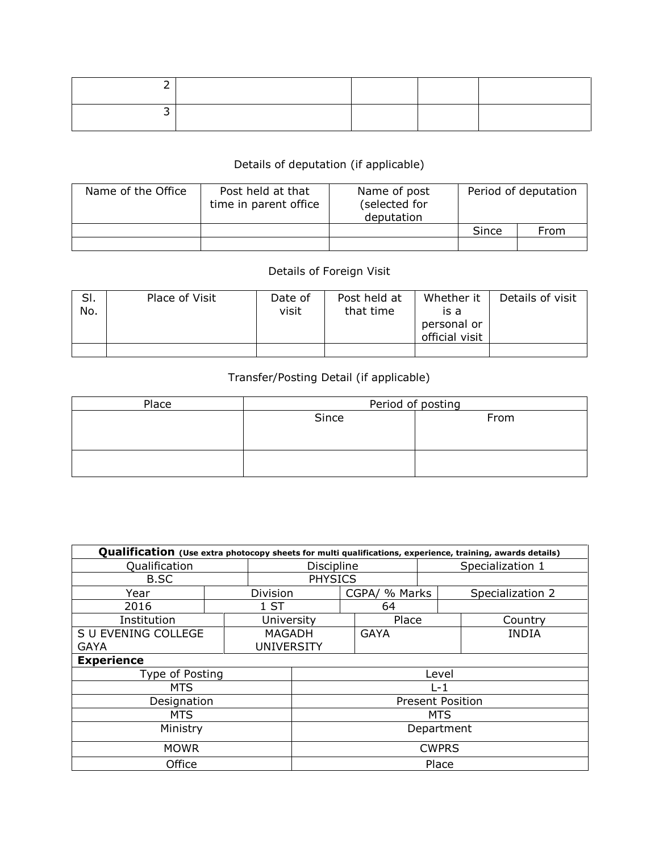## Details of deputation (if applicable)

| Name of the Office | Post held at that<br>time in parent office | Name of post<br>(selected for<br>deputation | Period of deputation |      |  |
|--------------------|--------------------------------------------|---------------------------------------------|----------------------|------|--|
|                    |                                            |                                             | Since                | From |  |
|                    |                                            |                                             |                      |      |  |

## Details of Foreign Visit

| SI.<br>No. | Place of Visit | Date of<br>visit | Post held at<br>that time | Whether it<br>is a<br>personal or<br>official visit | Details of visit |
|------------|----------------|------------------|---------------------------|-----------------------------------------------------|------------------|
|            |                |                  |                           |                                                     |                  |

## Transfer/Posting Detail (if applicable)

| Place | Period of posting |      |  |  |  |  |  |
|-------|-------------------|------|--|--|--|--|--|
|       | Since             | From |  |  |  |  |  |
|       |                   |      |  |  |  |  |  |
|       |                   |      |  |  |  |  |  |
|       |                   |      |  |  |  |  |  |
|       |                   |      |  |  |  |  |  |

| Qualification (Use extra photocopy sheets for multi qualifications, experience, training, awards details) |              |                   |                         |  |               |                  |                  |  |  |  |
|-----------------------------------------------------------------------------------------------------------|--------------|-------------------|-------------------------|--|---------------|------------------|------------------|--|--|--|
| Qualification                                                                                             |              |                   | Discipline              |  |               | Specialization 1 |                  |  |  |  |
| B.SC                                                                                                      |              | <b>PHYSICS</b>    |                         |  |               |                  |                  |  |  |  |
| Year                                                                                                      |              | <b>Division</b>   |                         |  | CGPA/ % Marks |                  | Specialization 2 |  |  |  |
| 2016                                                                                                      |              | 1ST               |                         |  | 64            |                  |                  |  |  |  |
| Institution                                                                                               |              | University        |                         |  | Place         |                  | Country          |  |  |  |
| S U EVENING COLLEGE                                                                                       |              | <b>MAGADH</b>     |                         |  | <b>GAYA</b>   |                  | <b>INDIA</b>     |  |  |  |
| <b>GAYA</b>                                                                                               |              | <b>UNIVERSITY</b> |                         |  |               |                  |                  |  |  |  |
| <b>Experience</b>                                                                                         |              |                   |                         |  |               |                  |                  |  |  |  |
| Type of Posting                                                                                           |              |                   | Level                   |  |               |                  |                  |  |  |  |
| <b>MTS</b>                                                                                                |              |                   | $L-1$                   |  |               |                  |                  |  |  |  |
| Designation                                                                                               |              |                   | <b>Present Position</b> |  |               |                  |                  |  |  |  |
| <b>MTS</b>                                                                                                |              |                   | <b>MTS</b>              |  |               |                  |                  |  |  |  |
| Ministry                                                                                                  | Department   |                   |                         |  |               |                  |                  |  |  |  |
| <b>MOWR</b>                                                                                               | <b>CWPRS</b> |                   |                         |  |               |                  |                  |  |  |  |
| Office                                                                                                    | Place        |                   |                         |  |               |                  |                  |  |  |  |